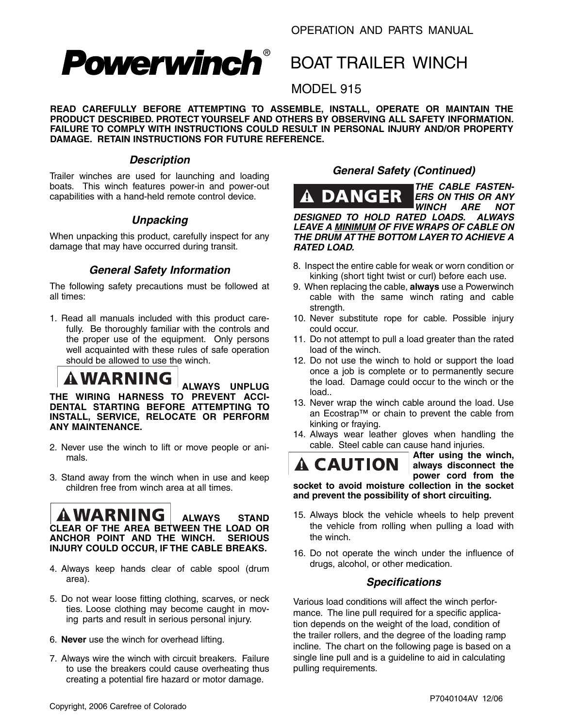# **Powerwinch®**

### BOAT TRAILER WINCH

#### MODEL 915

**READ CAREFULLY BEFORE ATTEMPTING TO ASSEMBLE, INSTALL, OPERATE OR MAINTAIN THE** PRODUCT DESCRIBED. PROTECT YOURSELF AND OTHERS BY OBSERVING ALL SAFETY INFORMATION. **FAILURE TO COMPLY WITH INSTRUCTIONS COULD RESULT IN PERSONAL INJURY AND/OR PROPERTY DAMAGE. RETAIN INSTRUCTIONS FOR FUTURE REFERENCE.**

#### *Description*

Trailer winches are used for launching and loading boats. This winch features power-in and power-out capabilities with a hand-held remote control device.

#### *Unpacking*

When unpacking this product, carefully inspect for any damage that may have occurred during transit.

#### *General Safety Information*

The following safety precautions must be followed at all times:

1. Read all manuals included with this product carefully. Be thoroughly familiar with the controls and the proper use of the equipment. Only persons well acquainted with these rules of safe operation should be allowed to use the winch.

## $\left| {\bf{A}}{\bf{W}}{\bf{A}}{\bf{R}}{\bf{N}}{\bf{I}} \right|_{\rm{ALWAYS}}$  unplug

**THE WIRING HARNESS TO PREVENT ACCI-DENTAL STARTING BEFORE ATTEMPTING TO INSTALL, SERVICE, RELOCATE OR PERFORM ANY MAINTENANCE.**

- 2. Never use the winch to lift or move people or animals.
- 3. Stand away from the winch when in use and keep children free from winch area at all times.

### **ALWAYS STAND**

 $\overline{\phantom{a}}$ 

**CLEAR OF THE AREA BETWEEN THE LOAD OR ANCHOR POINT AND THE WINCH. SERIOUS INJURY COULD OCCUR, IF THE CABLE BREAKS.** 

- 4. Always keep hands clear of cable spool (drum area).
- 5. Do not wear loose fitting clothing, scarves, or neck ties. Loose clothing may become caught in moving parts and result in serious personal injury.
- 6. **Never** use the winch for overhead lifting.
- 7. Always wire the winch with circuit breakers. Failure to use the breakers could cause overheating thus creating a potential fire hazard or motor damage.

#### *General Safety (Continued)*



*THE CABLE FASTEN-ERS ON THIS OR ANY*  **WINCH** 

*DESIGNED TO HOLD RATED LOADS. ALWAYS*  **LEAVE A MINIMUM OF FIVE WRAPS OF CABLE ON** *THE DRUM AT THE BOTTOM LAYER TO ACHIEVE A RATED LOAD.* 

- 8. Inspect the entire cable for weak or worn condition or kinking (short tight twist or curl) before each use.
- 9. When replacing the cable, **always** use a Powerwinch cable with the same winch rating and cable strength.
- 10. Never substitute rope for cable. Possible injury could occur.
- 11. Do not attempt to pull a load greater than the rated load of the winch.
- 12. Do not use the winch to hold or support the load once a job is complete or to permanently secure the load. Damage could occur to the winch or the load..
- 13. Never wrap the winch cable around the load. Use an Ecostrap™ or chain to prevent the cable from kinking or fraying.
- 14. Always wear leather gloves when handling the cable. Steel cable can cause hand injuries.

A CAUTION

**After using the winch, always disconnect the**  power cord from the

**socket to avoid moisture collection in the socket**  and prevent the possibility of short circuiting.

- 15. Always block the vehicle wheels to help prevent the vehicle from rolling when pulling a load with the winch.
- 16. Do not operate the winch under the influence of drugs, alcohol, or other medication.

#### *Specifications*

Various load conditions will affect the winch performance. The line pull required for a specific application depends on the weight of the load, condition of the trailer rollers, and the degree of the loading ramp incline. The chart on the following page is based on a single line pull and is a guideline to aid in calculating pulling requirements.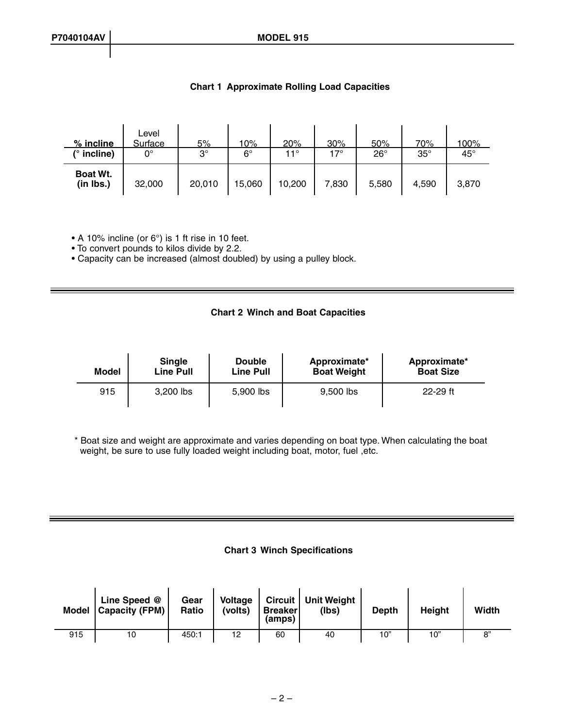| % incline             | Level<br>Surface | 5%        | 10%         | 20%          | 30%   | <u>50%</u>   | 70%        | <u> 100%</u> |
|-----------------------|------------------|-----------|-------------|--------------|-------|--------------|------------|--------------|
| (° incline)           | 0°               | $3^\circ$ | $6^{\circ}$ | $11^{\circ}$ | 17°   | $26^{\circ}$ | $35^\circ$ | $45^{\circ}$ |
| Boat Wt.<br>(in lbs.) | 32,000           | 20,010    | 15,060      | 10,200       | 7,830 | 5,580        | 4,590      | 3,870        |

#### **Chart 1 Approximate Rolling Load Capacities**

• A 10% incline (or 6°) is 1 ft rise in 10 feet.

• To convert pounds to kilos divide by 2.2.

• Capacity can be increased (almost doubled) by using a pulley block.

#### **Chart 2 Winch and Boat Capacities**

| <b>Single</b><br>Line Pull<br><b>Model</b> |           | <b>Double</b><br><b>Line Pull</b> | Approximate*<br><b>Boat Weight</b> | Approximate*<br><b>Boat Size</b> |  |
|--------------------------------------------|-----------|-----------------------------------|------------------------------------|----------------------------------|--|
| 915                                        | 3,200 lbs | 5.900 lbs                         | 9.500 lbs                          | $22 - 29$ ft                     |  |

\* Boat size and weight are approximate and varies depending on boat type. When calculating the boat weight, be sure to use fully loaded weight including boat, motor, fuel , etc.

#### **Chart 3 Winch Specifications**

|     | Line Speed @<br>Model   Capacity (FPM) | Gear<br>Ratio | <b>Voltage</b><br>(volts) | <b>Breaker</b><br>(amps) | Circuit   Unit Weight<br>(Ibs) | <b>Depth</b> | <b>Height</b> | Width      |
|-----|----------------------------------------|---------------|---------------------------|--------------------------|--------------------------------|--------------|---------------|------------|
| 915 | 10                                     | 450:1         | 12                        | 60                       | 40                             | 10"          | 10"           | $^{\circ}$ |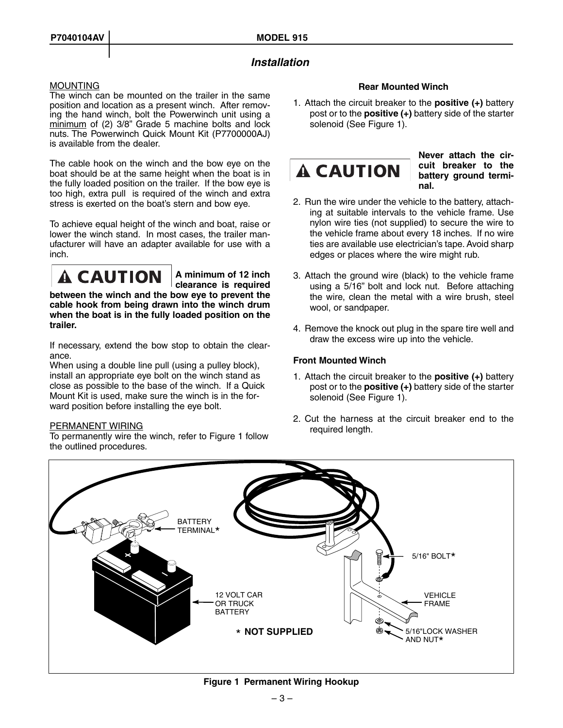#### *Installation*

#### **MOUNTING**

The winch can be mounted on the trailer in the same position and location as a present winch. After removing the hand winch, bolt the Powerwinch unit using a  $minimum$  of (2) 3/8" Grade 5 machine bolts and lock nuts. The Powerwinch Quick Mount Kit (P7700000AJ) is available from the dealer.

The cable hook on the winch and the bow eye on the boat should be at the same height when the boat is in the fully loaded position on the trailer. If the bow eye is too high, extra pull is required of the winch and extra stress is exerted on the boat's stern and bow eye.

To achieve equal height of the winch and boat, raise or lower the winch stand. In most cases, the trailer manufacturer will have an adapter available for use with a inch.



**A minimum of 12 inch clearance is required** 

**be tween the winch and the bow eye to prevent the cable hook from being drawn into the winch drum when the boat is in the fully loaded position on the trailer.**

If necessary, extend the bow stop to obtain the clearance.

When using a double line pull (using a pulley block), install an appropriate eye bolt on the winch stand as close as possible to the base of the winch. If a Quick Mount Kit is used, make sure the winch is in the forward position before installing the eye bolt.

#### PERMANENT WIRING

To permanently wire the winch, refer to Figure 1 follow the outlined procedures.

#### **Rear Mounted Winch**

1. Attach the circuit breaker to the **positive (+)** battery post or to the **positive (+)** battery side of the starter solenoid (See Figure 1).



**Never attach the circuit breaker to the battery ground terminal.**

- 2. Run the wire under the vehicle to the battery, attaching at suitable intervals to the vehicle frame. Use nylon wire ties (not supplied) to secure the wire to the vehicle frame about every 18 inches. If no wire ties are available use electrician's tape. Avoid sharp edges or places where the wire might rub.
- 3. Attach the ground wire (black) to the vehicle frame using a 5/16" bolt and lock nut. Before attaching the wire, clean the metal with a wire brush, steel wool, or sandpaper.
- 4. Remove the knock out plug in the spare tire well and draw the excess wire up into the vehicle.

#### **Front Mounted Winch**

- 1. Attach the circuit breaker to the **positive (+)** battery post or to the **positive (+)** battery side of the starter solenoid (See Figure 1).
- 2. Cut the harness at the circuit breaker end to the required length.



#### **Figure 1 Permanent Wiring Hookup**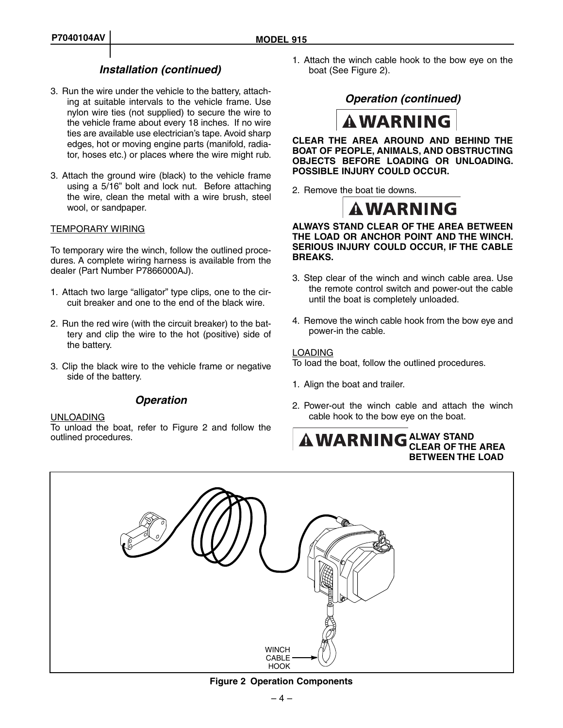#### *Installation (continued)*

- 3. Run the wire under the vehicle to the battery, attaching at suitable intervals to the vehicle frame. Use nylon wire ties (not supplied) to secure the wire to the vehicle frame about every 18 inches. If no wire ties are available use electrician's tape. Avoid sharp edges, hot or moving engine parts (manifold, radiator, hoses etc.) or places where the wire might rub.
- 3. Attach the ground wire (black) to the vehicle frame using a 5/16" bolt and lock nut. Before attaching the wire, clean the metal with a wire brush, steel wool, or sandpaper.

#### TEMPORARY WIRING

To temporary wire the winch, follow the outlined procedures. A complete wiring harness is available from the dealer (Part Number P7866000AJ).

- 1. Attach two large "alligator" type clips, one to the circuit breaker and one to the end of the black wire.
- 2. Run the red wire (with the circuit breaker) to the battery and clip the wire to the hot (positive) side of the battery.
- 3. Clip the black wire to the vehicle frame or negative side of the battery.

#### *Operation*

#### UNLOADING

To unload the boat, refer to Figure 2 and follow the outlined procedures.

1. Attach the winch cable hook to the bow eye on the boat (See Figure 2).

*Operation (continued)* 



**CLEAR THE AREA AROUND AND BEHIND THE BOAT OF PEOPLE, ANIMALS, AND OBSTRUCTING OBJECTS BEFORE LOADING OR UNLOADING. POSSIBLE INJURY COULD OCCUR.** 

2. Remove the boat tie downs.



#### **ALWAYS STAND CLEAR OF THE AREA BETWEEN THE LOAD OR ANCHOR POINT AND THE WINCH. SERIOUS INJURY COULD OCCUR, IF THE CABLE BREAKS.**

- 3. Step clear of the winch and winch cable area. Use the remote control switch and power-out the cable until the boat is completely unloaded.
- 4. Remove the winch cable hook from the bow eye and power-in the cable.

#### LOADING

To load the boat, follow the outlined procedures.

- 1. Align the boat and trailer.
- 2. Power-out the winch cable and attach the winch cable hook to the bow eye on the boat.

#### **ALWAY STAND CLEAR OF THE AREA BETWEEN THE LOAD**



**Figure 2 Operation Components**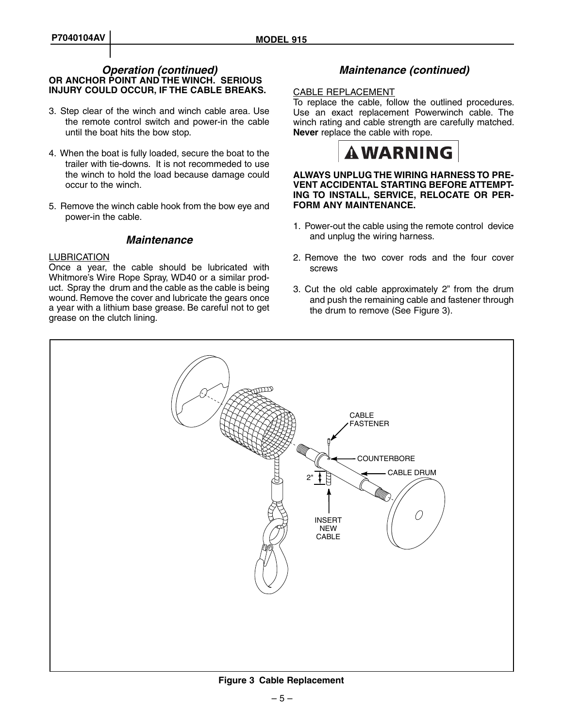#### **OR ANCHOR POINT AND THE WINCH. SERIOUS INJURY COULD OCCUR, IF THE CABLE BREAKS.**  *Operation (continued) Maintenance (continued)*

- 3. Step clear of the winch and winch cable area. Use the remote control switch and power-in the cable until the boat hits the bow stop.
- 4. When the boat is fully loaded, secure the boat to the trailer with tie-downs. It is not recommeded to use the winch to hold the load because damage could occur to the winch.
- 5. Remove the winch cable hook from the bow eye and power-in the cable.

#### *Maintenance*

#### **LUBRICATION**

Once a year, the cable should be lubricated with Whitmore's Wire Rope Spray, WD40 or a similar product. Spray the drum and the cable as the cable is being wound. Remove the cover and lubricate the gears once a year with a lithium base grease. Be careful not to get grease on the clutch lining.

#### CABLE REPLACEMENT

To replace the cable, follow the outlined procedures. Use an exact replacement Powerwinch cable. The winch rating and cable strength are carefully matched. **Never** replace the cable with rope.



#### **ALWAYS UNPLUG THE WIRING HARNESS TO PRE-VENT ACCIDENTAL STARTING BEFORE ATTEMPT-ING TO INSTALL, SERVICE, RELOCATE OR PER-FORM ANY MAINTENANCE.**

- 1. Power-out the cable using the remote control device and unplug the wiring harness.
- 2. Remove the two cover rods and the four cover screws
- 3. Cut the old cable approximately 2" from the drum and push the remaining cable and fastener through the drum to remove (See Figure 3).

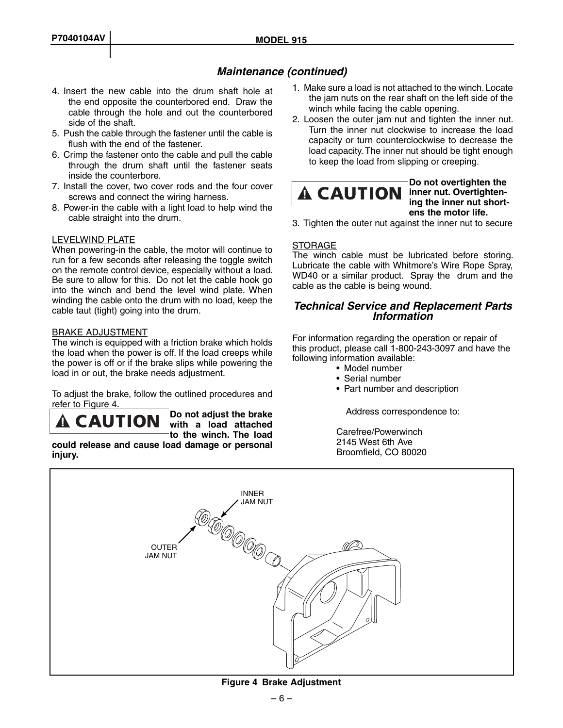#### *Maintenance (continued)*

- 4. Insert the new cable into the drum shaft hole at the end opposite the counterbored end. Draw the cable through the hole and out the counterbored side of the shaft.
- 5. Push the cable through the fastener until the cable is flush with the end of the fastener.
- 6. Crimp the fastener onto the cable and pull the cable through the drum shaft until the fastener seats inside the counterbore.
- 7. Install the cover, two cover rods and the four cover screws and connect the wiring harness.
- 8. Power-in the cable with a light load to help wind the cable straight into the drum.

#### LEVELWIND PLATE

When powering-in the cable, the motor will continue to run for a few seconds after releasing the toggle switch on the remote control device, especially without a load. Be sure to allow for this. Do not let the cable hook go into the winch and bend the level wind plate. When winding the cable onto the drum with no load, keep the cable taut (tight) going into the drum.

#### BRAKE ADJUSTMENT

The winch is equipped with a friction brake which holds the load when the power is off. If the load creeps while the power is off or if the brake slips while powering the load in or out, the brake needs adjustment.

To adjust the brake, follow the outlined procedures and refer to Figure 4.

**Do not adjust the brake A CAUTION with a load attached to the winch. The load** 

**could release and cause load dam age or personal injury.**

- 1. Make sure a load is not attached to the winch. Locate the jam nuts on the rear shaft on the left side of the winch while facing the cable opening.
- 2. Loosen the outer jam nut and tighten the inner nut. Turn the inner nut clockwise to increase the load capacity or turn counterclockwise to decrease the load capacity. The inner nut should be tight enough to keep the load from slipping or creeping.

**A CAUTION** inner nut. Overtighten-

#### **Do not overtighten the ing the inner nut shortens the motor life.**

3. Tighten the outer nut against the inner nut to secure

#### **STORAGE**

The winch cable must be lubricated before storing. Lubricate the cable with Whitmore's Wire Rope Spray, WD40 or a similar product. Spray the drum and the cable as the cable is being wound.

### *Technical Service and Replacement Parts Information*

For information regarding the operation or repair of this product, please call 1-800-243-3097 and have the following information available:

- Model number
- Serial number
- Part number and description

Address correspondence to:

 Carefree/Powerwinch 2145 West 6th Ave Broomfield, CO 80020



**Figure 4 Brake Adjustment**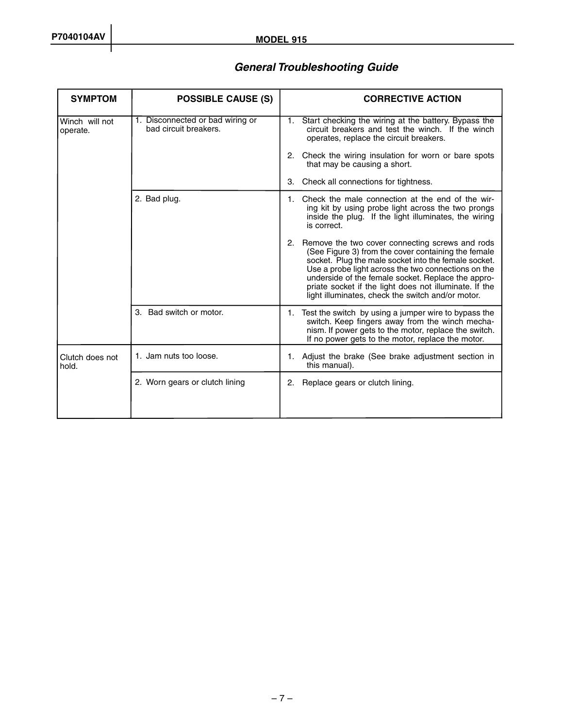### *General Troubleshooting Guide*

| <b>SYMPTOM</b>             | <b>POSSIBLE CAUSE (S)</b>                                 | <b>CORRECTIVE ACTION</b>                                                                                                                                                                                                                                                                                                                                                                      |
|----------------------------|-----------------------------------------------------------|-----------------------------------------------------------------------------------------------------------------------------------------------------------------------------------------------------------------------------------------------------------------------------------------------------------------------------------------------------------------------------------------------|
| Winch will not<br>operate. | 1. Disconnected or bad wiring or<br>bad circuit breakers. | 1. Start checking the wiring at the battery. Bypass the<br>circuit breakers and test the winch. If the winch<br>operates, replace the circuit breakers.                                                                                                                                                                                                                                       |
|                            |                                                           | 2. Check the wiring insulation for worn or bare spots<br>that may be causing a short.                                                                                                                                                                                                                                                                                                         |
|                            |                                                           | 3. Check all connections for tightness.                                                                                                                                                                                                                                                                                                                                                       |
|                            | 2. Bad plug.                                              | 1. Check the male connection at the end of the wir-<br>ing kit by using probe light across the two prongs<br>inside the plug. If the light illuminates, the wiring<br>is correct.                                                                                                                                                                                                             |
|                            |                                                           | 2. Remove the two cover connecting screws and rods<br>(See Figure 3) from the cover containing the female<br>socket. Plug the male socket into the female socket.<br>Use a probe light across the two connections on the<br>underside of the female socket. Replace the appro-<br>priate socket if the light does not illuminate. If the<br>light illuminates, check the switch and/or motor. |
|                            | 3. Bad switch or motor.                                   | 1. Test the switch by using a jumper wire to bypass the<br>switch. Keep fingers away from the winch mecha-<br>nism. If power gets to the motor, replace the switch.<br>If no power gets to the motor, replace the motor.                                                                                                                                                                      |
| Clutch does not<br>hold.   | 1. Jam nuts too loose.                                    | 1. Adjust the brake (See brake adjustment section in<br>this manual).                                                                                                                                                                                                                                                                                                                         |
|                            | 2. Worn gears or clutch lining                            | 2. Replace gears or clutch lining.                                                                                                                                                                                                                                                                                                                                                            |